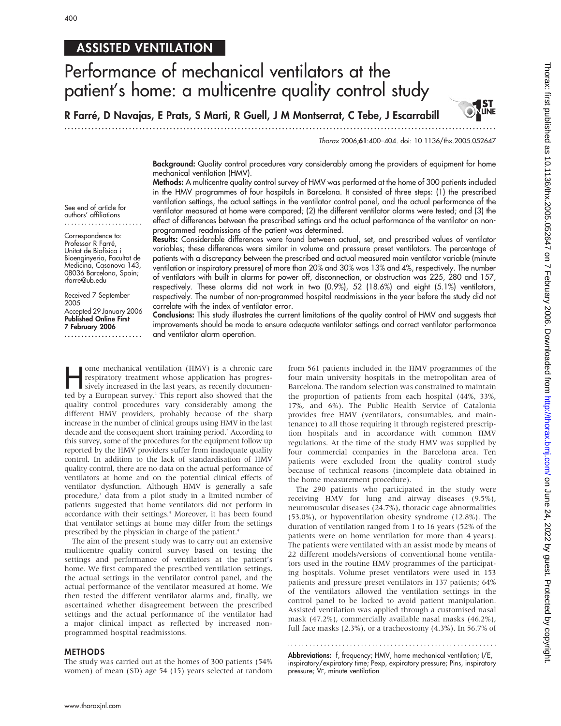## ASSISTED VENTILATION

# Performance of mechanical ventilators at the patient's home: a multicentre quality control study

R Farré, D Navajas, E Prats, S Marti, R Guell, J M Montserrat, C Tebe, J Escarrabill

.............................................................................................................................. .

Thorax 2006;61:400–404. doi: 10.1136/thx.2005.052647

**ST ST** 

Background: Quality control procedures vary considerably among the providers of equipment for home mechanical ventilation (HMV).

Methods: A multicentre quality control survey of HMV was performed at the home of 300 patients included in the HMV programmes of four hospitals in Barcelona. It consisted of three steps: (1) the prescribed ventilation settings, the actual settings in the ventilator control panel, and the actual performance of the ventilator measured at home were compared; (2) the different ventilator alarms were tested; and (3) the effect of differences between the prescribed settings and the actual performance of the ventilator on nonprogrammed readmissions of the patient was determined.

Results: Considerable differences were found between actual, set, and prescribed values of ventilator variables; these differences were similar in volume and pressure preset ventilators. The percentage of patients with a discrepancy between the prescribed and actual measured main ventilator variable (minute ventilation or inspiratory pressure) of more than 20% and 30% was 13% and 4%, respectively. The number of ventilators with built in alarms for power off, disconnection, or obstruction was 225, 280 and 157, respectively. These alarms did not work in two (0.9%), 52 (18.6%) and eight (5.1%) ventilators, respectively. The number of non-programmed hospital readmissions in the year before the study did not correlate with the index of ventilator error.

Conclusions: This study illustrates the current limitations of the quality control of HMV and suggests that improvements should be made to ensure adequate ventilator settings and correct ventilator performance and ventilator alarm operation.

Fome mechanical ventilation (HMV) is a chronic care<br>respiratory treatment whose application has progres-<br>sively increased in the last years, as recently documen-<br>ted by a European survey.<sup>1</sup> This report also showed that th respiratory treatment whose application has progrested by a European survey.<sup>1</sup> This report also showed that the quality control procedures vary considerably among the different HMV providers, probably because of the sharp increase in the number of clinical groups using HMV in the last decade and the consequent short training period.<sup>2</sup> According to this survey, some of the procedures for the equipment follow up reported by the HMV providers suffer from inadequate quality control. In addition to the lack of standardisation of HMV quality control, there are no data on the actual performance of ventilators at home and on the potential clinical effects of ventilator dysfunction. Although HMV is generally a safe procedure,3 data from a pilot study in a limited number of patients suggested that home ventilators did not perform in accordance with their settings.<sup>4</sup> Moreover, it has been found that ventilator settings at home may differ from the settings prescribed by the physician in charge of the patient.4

The aim of the present study was to carry out an extensive multicentre quality control survey based on testing the settings and performance of ventilators at the patient's home. We first compared the prescribed ventilation settings, the actual settings in the ventilator control panel, and the actual performance of the ventilator measured at home. We then tested the different ventilator alarms and, finally, we ascertained whether disagreement between the prescribed settings and the actual performance of the ventilator had a major clinical impact as reflected by increased nonprogrammed hospital readmissions.

### METHODS

The study was carried out at the homes of 300 patients (54% women) of mean (SD) age 54 (15) years selected at random from 561 patients included in the HMV programmes of the four main university hospitals in the metropolitan area of Barcelona. The random selection was constrained to maintain the proportion of patients from each hospital (44%, 33%, 17%, and 6%). The Public Health Service of Catalonia provides free HMV (ventilators, consumables, and maintenance) to all those requiring it through registered prescription hospitals and in accordance with common HMV regulations. At the time of the study HMV was supplied by four commercial companies in the Barcelona area. Ten patients were excluded from the quality control study because of technical reasons (incomplete data obtained in the home measurement procedure).

The 290 patients who participated in the study were receiving HMV for lung and airway diseases (9.5%), neuromuscular diseases (24.7%), thoracic cage abnormalities (53.0%), or hypoventilation obesity syndrome (12.8%). The duration of ventilation ranged from 1 to 16 years (52% of the patients were on home ventilation for more than 4 years). The patients were ventilated with an assist mode by means of 22 different models/versions of conventional home ventilators used in the routine HMV programmes of the participating hospitals. Volume preset ventilators were used in 153 patients and pressure preset ventilators in 137 patients; 64% of the ventilators allowed the ventilation settings in the control panel to be locked to avoid patient manipulation. Assisted ventilation was applied through a customised nasal mask (47.2%), commercially available nasal masks (46.2%), full face masks (2.3%), or a tracheostomy (4.3%). In 56.7% of

Abbreviations: f, frequency; HMV, home mechanical ventilation; I/E, inspiratory/expiratory time; Pexp, expiratory pressure; Pins, inspiratory pressure; VE, minute ventilation

See end of article for authors' affiliations .......................

Correspondence to: Professor R Farré, Unitat de Biofísica i Bioenginyeria, Facultat de Medicina, Casanova 143, 08036 Barcelona, Spain; rfarre@ub.edu

Received 7 September 2005 Accepted 29 January 2006 Published Online First 7 February 2006 .......................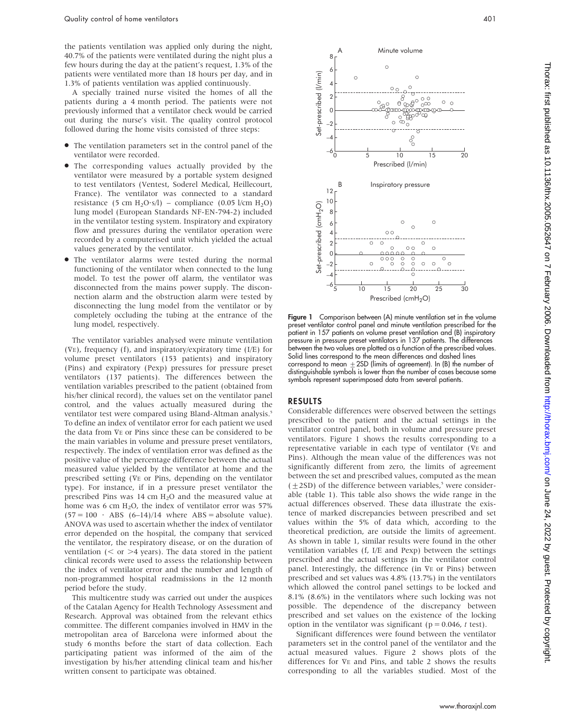the patients ventilation was applied only during the night, 40.7% of the patients were ventilated during the night plus a few hours during the day at the patient's request, 1.3% of the patients were ventilated more than 18 hours per day, and in 1.3% of patients ventilation was applied continuously.

A specially trained nurse visited the homes of all the patients during a 4 month period. The patients were not previously informed that a ventilator check would be carried out during the nurse's visit. The quality control protocol followed during the home visits consisted of three steps:

- The ventilation parameters set in the control panel of the ventilator were recorded.
- $\bullet$  The corresponding values actually provided by the ventilator were measured by a portable system designed to test ventilators (Ventest, Soderel Medical, Heillecourt, France). The ventilator was connected to a standard resistance (5 cm  $H_2O·s/l$ ) – compliance (0.05 l/cm  $H_2O$ ) lung model (European Standards NF-EN-794-2) included in the ventilator testing system. Inspiratory and expiratory flow and pressures during the ventilator operation were recorded by a computerised unit which yielded the actual values generated by the ventilator.
- The ventilator alarms were tested during the normal functioning of the ventilator when connected to the lung model. To test the power off alarm, the ventilator was disconnected from the mains power supply. The disconnection alarm and the obstruction alarm were tested by disconnecting the lung model from the ventilator or by completely occluding the tubing at the entrance of the lung model, respectively.

The ventilator variables analysed were minute ventilation ( $VE$ ), frequency (f), and inspiratory/expiratory time (I/E) for volume preset ventilators (153 patients) and inspiratory (Pins) and expiratory (Pexp) pressures for pressure preset ventilators (137 patients). The differences between the ventilation variables prescribed to the patient (obtained from his/her clinical record), the values set on the ventilator panel control, and the values actually measured during the ventilator test were compared using Bland-Altman analysis.<sup>5</sup> To define an index of ventilator error for each patient we used the data from VE or Pins since these can be considered to be the main variables in volume and pressure preset ventilators, respectively. The index of ventilation error was defined as the positive value of the percentage difference between the actual measured value yielded by the ventilator at home and the prescribed setting (VE or Pins, depending on the ventilator type). For instance, if in a pressure preset ventilator the prescribed Pins was 14 cm H2O and the measured value at home was 6 cm  $H_2O$ , the index of ventilator error was 57%  $(57 = 100 \cdot \text{ABS } (6-14)/14 \text{ where } \text{ABS} = \text{absolute value}).$ ANOVA was used to ascertain whether the index of ventilator error depended on the hospital, the company that serviced the ventilator, the respiratory disease, or on the duration of ventilation ( $\leq$  or  $\geq$ 4 years). The data stored in the patient clinical records were used to assess the relationship between the index of ventilator error and the number and length of non-programmed hospital readmissions in the 12 month period before the study.

This multicentre study was carried out under the auspices of the Catalan Agency for Health Technology Assessment and Research. Approval was obtained from the relevant ethics committee. The different companies involved in HMV in the metropolitan area of Barcelona were informed about the study 6 months before the start of data collection. Each participating patient was informed of the aim of the investigation by his/her attending clinical team and his/her written consent to participate was obtained.



Figure 1 Comparison between (A) minute ventilation set in the volume preset ventilator control panel and minute ventilation prescribed for the patient in 157 patients on volume preset ventilation and (B) inspiratory pressure in pressure preset ventilators in 137 patients. The differences between the two values are plotted as a function of the prescribed values. Solid lines correspond to the mean differences and dashed lines correspond to mean  $\pm 2$ SD (limits of agreement). In (B) the number of distinguishable symbols is lower than the number of cases because some symbols represent superimposed data from several patients.

#### RESULTS

Considerable differences were observed between the settings prescribed to the patient and the actual settings in the ventilator control panel, both in volume and pressure preset ventilators. Figure 1 shows the results corresponding to a representative variable in each type of ventilator (VE and Pins). Although the mean value of the differences was not significantly different from zero, the limits of agreement between the set and prescribed values, computed as the mean  $(\pm 2SD)$  of the difference between variables,<sup>5</sup> were considerable (table 1). This table also shows the wide range in the actual differences observed. These data illustrate the existence of marked discrepancies between prescribed and set values within the 5% of data which, according to the theoretical prediction, are outside the limits of agreement. As shown in table 1, similar results were found in the other ventilation variables (f, I/E and Pexp) between the settings prescribed and the actual settings in the ventilator control panel. Interestingly, the difference (in VE or Pins) between prescribed and set values was 4.8% (13.7%) in the ventilators which allowed the control panel settings to be locked and 8.1% (8.6%) in the ventilators where such locking was not possible. The dependence of the discrepancy between prescribed and set values on the existence of the locking option in the ventilator was significant ( $p = 0.046$ , t test).

Significant differences were found between the ventilator parameters set in the control panel of the ventilator and the actual measured values. Figure 2 shows plots of the differences for VE and Pins, and table 2 shows the results corresponding to all the variables studied. Most of the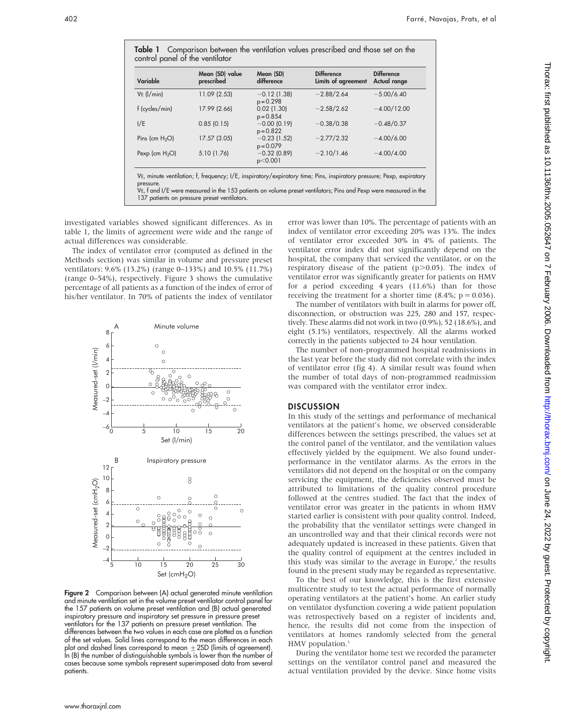| Variable          | Mean (SD) value<br>prescribed | Mean (SD)<br>difference       | <b>Difference</b><br>Limits of agreement | <b>Difference</b><br>Actual range |
|-------------------|-------------------------------|-------------------------------|------------------------------------------|-----------------------------------|
| $VE$ ( $I/min$ )  | 11.09 (2.53)                  | $-0.12(1.38)$<br>$p = 0.298$  | $-2.88/2.64$                             | $-5.00/6.40$                      |
| f (cycles/min)    | 17.99 (2.66)                  | $0.02$ (1.30)<br>$p = 0.854$  | $-2.58/2.62$                             | $-4.00/12.00$                     |
| I/E               | 0.85(0.15)                    | $-0.00$ (0.19)<br>$p = 0.822$ | $-0.38/0.38$                             | $-0.48/0.37$                      |
| Pins (cm $H_2O$ ) | 17.57 (3.05)                  | $-0.23(1.52)$<br>$p = 0.079$  | $-2.77/2.32$                             | $-4.00/6.00$                      |
| Pexp (cm $H_2O$ ) | 5.10 (1.76)                   | $-0.32$ (0.89)<br>p<0.001     | $-2.10/1.46$                             | $-4.00/4.00$                      |

VE, f and I/E were measured in the 153 patients on volume preset ventilators; Pins and Pexp were measured in the 137 patients on pressure preset ventilators.

investigated variables showed significant differences. As in table 1, the limits of agreement were wide and the range of actual differences was considerable.

The index of ventilator error (computed as defined in the Methods section) was similar in volume and pressure preset ventilators: 9.6% (13.2%) (range 0–133%) and 10.5% (11.7%) (range 0–54%), respectively. Figure 3 shows the cumulative percentage of all patients as a function of the index of error of his/her ventilator. In 70% of patients the index of ventilator



Figure 2 Comparison between (A) actual generated minute ventilation and minute ventilation set in the volume preset ventilator control panel for the 157 patients on volume preset ventilation and (B) actual generated inspiratory pressure and inspiratory set pressure in pressure preset ventilators for the 137 patients on pressure preset ventilation. The differences between the two values in each case are plotted as a function of the set values. Solid lines correspond to the mean differences in each plot and dashed lines correspond to mean  $\pm$  2SD (limits of agreement). In (B) the number of distinguishable symbols is lower than the number of cases because some symbols represent superimposed data from several patients.

error was lower than 10%. The percentage of patients with an index of ventilator error exceeding 20% was 13%. The index of ventilator error exceeded 30% in 4% of patients. The ventilator error index did not significantly depend on the hospital, the company that serviced the ventilator, or on the respiratory disease of the patient ( $p$  $>$ 0.05). The index of ventilator error was significantly greater for patients on HMV for a period exceeding 4 years (11.6%) than for those receiving the treatment for a shorter time  $(8.4\%; p = 0.036)$ .

The number of ventilators with built in alarms for power off, disconnection, or obstruction was 225, 280 and 157, respectively. These alarms did not work in two (0.9%), 52 (18.6%), and eight (5.1%) ventilators, respectively. All the alarms worked correctly in the patients subjected to 24 hour ventilation.

The number of non-programmed hospital readmissions in the last year before the study did not correlate with the index of ventilator error (fig 4). A similar result was found when the number of total days of non-programmed readmission was compared with the ventilator error index.

#### **DISCUSSION**

In this study of the settings and performance of mechanical ventilators at the patient's home, we observed considerable differences between the settings prescribed, the values set at the control panel of the ventilator, and the ventilation values effectively yielded by the equipment. We also found underperformance in the ventilator alarms. As the errors in the ventilators did not depend on the hospital or on the company servicing the equipment, the deficiencies observed must be attributed to limitations of the quality control procedure followed at the centres studied. The fact that the index of ventilator error was greater in the patients in whom HMV started earlier is consistent with poor quality control. Indeed, the probability that the ventilator settings were changed in an uncontrolled way and that their clinical records were not adequately updated is increased in these patients. Given that the quality control of equipment at the centres included in this study was similar to the average in Europe, $<sup>2</sup>$  the results</sup> found in the present study may be regarded as representative.

To the best of our knowledge, this is the first extensive multicentre study to test the actual performance of normally operating ventilators at the patient's home. An earlier study on ventilator dysfunction covering a wide patient population was retrospectively based on a register of incidents and, hence, the results did not come from the inspection of ventilators at homes randomly selected from the general HMV population.<sup>3</sup>

During the ventilator home test we recorded the parameter settings on the ventilator control panel and measured the actual ventilation provided by the device. Since home visits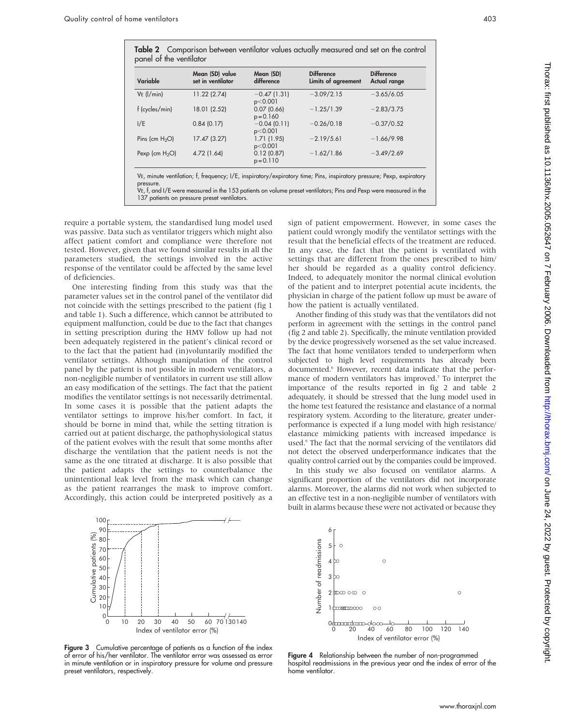| Variable          | Mean (SD) value<br>set in ventilator | Mean (SD)<br>difference   | <b>Difference</b><br>Limits of agreement | <b>Difference</b><br>Actual range |
|-------------------|--------------------------------------|---------------------------|------------------------------------------|-----------------------------------|
| $VE$ ( $1/min$ )  | 11.22 (2.74)                         | $-0.47(1.31)$<br>p<0.001  | $-3.09/2.15$                             | $-3.65/6.05$                      |
| f (cycles/min)    | 18.01 (2.52)                         | 0.07(0.66)<br>$p = 0.160$ | $-1.25/1.39$                             | $-2.83/3.75$                      |
| I/E               | 0.84(0.17)                           | $-0.04(0.11)$<br>p<0.001  | $-0.26/0.18$                             | $-0.37/0.52$                      |
| Pins (cm $H_2O$ ) | 17.47 (3.27)                         | 1.71(1.95)<br>p<0.001     | $-2.19/5.61$                             | $-1.66/9.98$                      |
| Pexp (cm $H_2O$ ) | 4.72 (1.64)                          | 0.12(0.87)<br>$p = 0.110$ | $-1.62/1.86$                             | $-3.49/2.69$                      |

VE, t, and I/E were measured in the 153 patients on volume preset ventilators; Pins and Pexp were measured in the 137 patients on pressure preset ventilators.

require a portable system, the standardised lung model used was passive. Data such as ventilator triggers which might also affect patient comfort and compliance were therefore not tested. However, given that we found similar results in all the parameters studied, the settings involved in the active response of the ventilator could be affected by the same level of deficiencies.

One interesting finding from this study was that the parameter values set in the control panel of the ventilator did not coincide with the settings prescribed to the patient (fig 1 and table 1). Such a difference, which cannot be attributed to equipment malfunction, could be due to the fact that changes in setting prescription during the HMV follow up had not been adequately registered in the patient's clinical record or to the fact that the patient had (in)voluntarily modified the ventilator settings. Although manipulation of the control panel by the patient is not possible in modern ventilators, a non-negligible number of ventilators in current use still allow an easy modification of the settings. The fact that the patient modifies the ventilator settings is not necessarily detrimental. In some cases it is possible that the patient adapts the ventilator settings to improve his/her comfort. In fact, it should be borne in mind that, while the setting titration is carried out at patient discharge, the pathophysiological status of the patient evolves with the result that some months after discharge the ventilation that the patient needs is not the same as the one titrated at discharge. It is also possible that the patient adapts the settings to counterbalance the unintentional leak level from the mask which can change as the patient rearranges the mask to improve comfort. Accordingly, this action could be interpreted positively as a sign of patient empowerment. However, in some cases the patient could wrongly modify the ventilator settings with the result that the beneficial effects of the treatment are reduced. In any case, the fact that the patient is ventilated with settings that are different from the ones prescribed to him/ her should be regarded as a quality control deficiency. Indeed, to adequately monitor the normal clinical evolution of the patient and to interpret potential acute incidents, the physician in charge of the patient follow up must be aware of how the patient is actually ventilated.

Another finding of this study was that the ventilators did not perform in agreement with the settings in the control panel (fig 2 and table 2). Specifically, the minute ventilation provided by the device progressively worsened as the set value increased. The fact that home ventilators tended to underperform when subjected to high level requirements has already been documented.6 However, recent data indicate that the performance of modern ventilators has improved.7 To interpret the importance of the results reported in fig 2 and table 2 adequately, it should be stressed that the lung model used in the home test featured the resistance and elastance of a normal respiratory system. According to the literature, greater underperformance is expected if a lung model with high resistance/ elastance mimicking patients with increased impedance is used.<sup>6</sup> The fact that the normal servicing of the ventilators did not detect the observed underperformance indicates that the quality control carried out by the companies could be improved.

In this study we also focused on ventilator alarms. A significant proportion of the ventilators did not incorporate alarms. Moreover, the alarms did not work when subjected to an effective test in a non-negligible number of ventilators with built in alarms because these were not activated or because they



Figure 3 Cumulative percentage of patients as a function of the index of error of his/her ventilator. The ventilator error was assessed as error in minute ventilation or in inspiratory pressure for volume and pressure preset ventilators, respectively.



Figure 4 Relationship between the number of non-programmed hospital readmissions in the previous year and the index of error of the home ventilator.